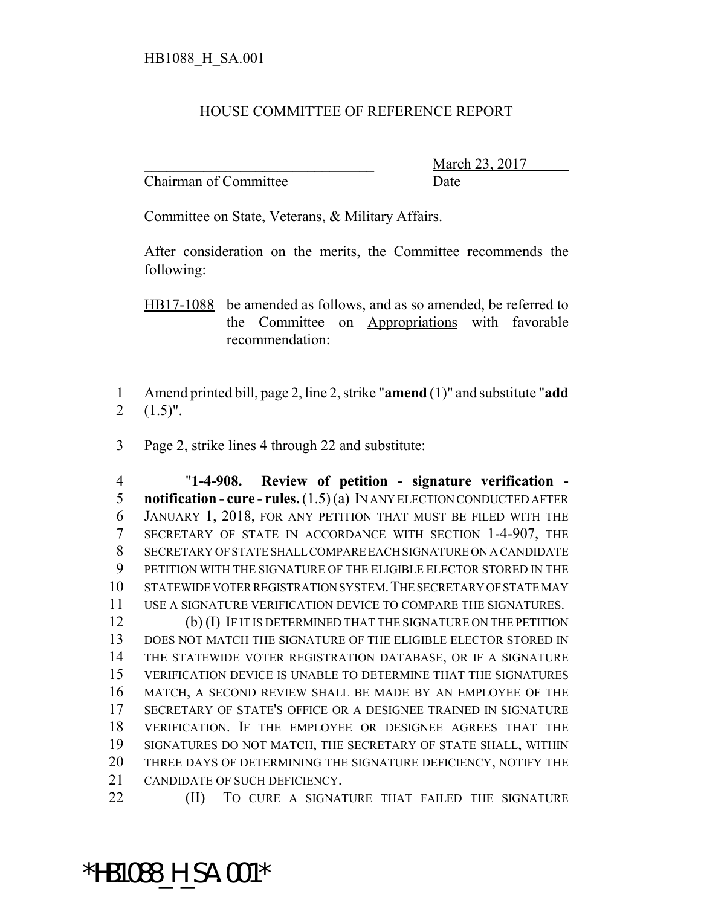## HOUSE COMMITTEE OF REFERENCE REPORT

Chairman of Committee Date

March 23, 2017

Committee on State, Veterans, & Military Affairs.

After consideration on the merits, the Committee recommends the following:

HB17-1088 be amended as follows, and as so amended, be referred to the Committee on Appropriations with favorable recommendation:

 Amend printed bill, page 2, line 2, strike "**amend** (1)" and substitute "**add**  $2 \quad (1.5)$ ".

Page 2, strike lines 4 through 22 and substitute:

 "**1-4-908. Review of petition - signature verification - notification - cure - rules.** (1.5) (a) IN ANY ELECTION CONDUCTED AFTER JANUARY 1, 2018, FOR ANY PETITION THAT MUST BE FILED WITH THE SECRETARY OF STATE IN ACCORDANCE WITH SECTION 1-4-907, THE SECRETARY OF STATE SHALL COMPARE EACH SIGNATURE ON A CANDIDATE PETITION WITH THE SIGNATURE OF THE ELIGIBLE ELECTOR STORED IN THE STATEWIDE VOTER REGISTRATION SYSTEM.THE SECRETARY OF STATE MAY USE A SIGNATURE VERIFICATION DEVICE TO COMPARE THE SIGNATURES.

 (b) (I) IF IT IS DETERMINED THAT THE SIGNATURE ON THE PETITION DOES NOT MATCH THE SIGNATURE OF THE ELIGIBLE ELECTOR STORED IN THE STATEWIDE VOTER REGISTRATION DATABASE, OR IF A SIGNATURE VERIFICATION DEVICE IS UNABLE TO DETERMINE THAT THE SIGNATURES MATCH, A SECOND REVIEW SHALL BE MADE BY AN EMPLOYEE OF THE SECRETARY OF STATE'S OFFICE OR A DESIGNEE TRAINED IN SIGNATURE VERIFICATION. IF THE EMPLOYEE OR DESIGNEE AGREES THAT THE SIGNATURES DO NOT MATCH, THE SECRETARY OF STATE SHALL, WITHIN THREE DAYS OF DETERMINING THE SIGNATURE DEFICIENCY, NOTIFY THE CANDIDATE OF SUCH DEFICIENCY.

**(II)** TO CURE A SIGNATURE THAT FAILED THE SIGNATURE

\*HB1088\_H\_SA.001\*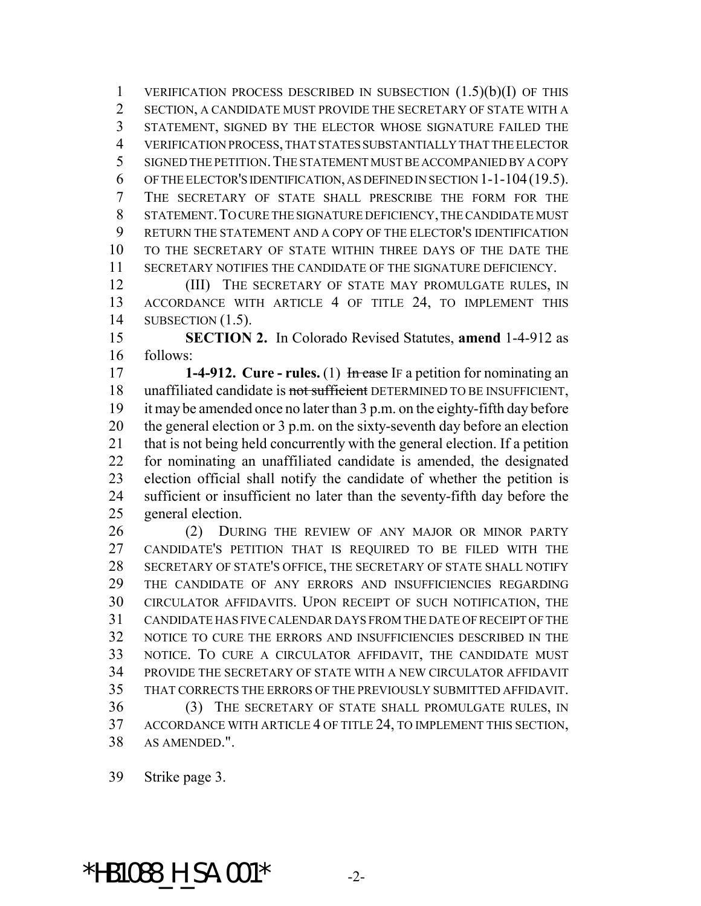1 VERIFICATION PROCESS DESCRIBED IN SUBSECTION  $(1.5)(b)(I)$  OF THIS SECTION, A CANDIDATE MUST PROVIDE THE SECRETARY OF STATE WITH A STATEMENT, SIGNED BY THE ELECTOR WHOSE SIGNATURE FAILED THE VERIFICATION PROCESS, THAT STATES SUBSTANTIALLY THAT THE ELECTOR SIGNED THE PETITION.THE STATEMENT MUST BE ACCOMPANIED BY A COPY OF THE ELECTOR'S IDENTIFICATION, AS DEFINED IN SECTION 1-1-104(19.5). THE SECRETARY OF STATE SHALL PRESCRIBE THE FORM FOR THE STATEMENT.TO CURE THE SIGNATURE DEFICIENCY, THE CANDIDATE MUST RETURN THE STATEMENT AND A COPY OF THE ELECTOR'S IDENTIFICATION TO THE SECRETARY OF STATE WITHIN THREE DAYS OF THE DATE THE SECRETARY NOTIFIES THE CANDIDATE OF THE SIGNATURE DEFICIENCY.

12 (III) THE SECRETARY OF STATE MAY PROMULGATE RULES, IN ACCORDANCE WITH ARTICLE 4 OF TITLE 24, TO IMPLEMENT THIS SUBSECTION (1.5).

 **SECTION 2.** In Colorado Revised Statutes, **amend** 1-4-912 as follows:

**1-4-912. Cure - rules.** (1) In case IF a petition for nominating an 18 unaffiliated candidate is not sufficient DETERMINED TO BE INSUFFICIENT, it may be amended once no later than 3 p.m. on the eighty-fifth day before the general election or 3 p.m. on the sixty-seventh day before an election that is not being held concurrently with the general election. If a petition for nominating an unaffiliated candidate is amended, the designated election official shall notify the candidate of whether the petition is sufficient or insufficient no later than the seventy-fifth day before the general election.

 (2) DURING THE REVIEW OF ANY MAJOR OR MINOR PARTY CANDIDATE'S PETITION THAT IS REQUIRED TO BE FILED WITH THE SECRETARY OF STATE'S OFFICE, THE SECRETARY OF STATE SHALL NOTIFY THE CANDIDATE OF ANY ERRORS AND INSUFFICIENCIES REGARDING CIRCULATOR AFFIDAVITS. UPON RECEIPT OF SUCH NOTIFICATION, THE CANDIDATE HAS FIVE CALENDAR DAYS FROM THE DATE OF RECEIPT OF THE NOTICE TO CURE THE ERRORS AND INSUFFICIENCIES DESCRIBED IN THE NOTICE. TO CURE A CIRCULATOR AFFIDAVIT, THE CANDIDATE MUST PROVIDE THE SECRETARY OF STATE WITH A NEW CIRCULATOR AFFIDAVIT THAT CORRECTS THE ERRORS OF THE PREVIOUSLY SUBMITTED AFFIDAVIT. (3) THE SECRETARY OF STATE SHALL PROMULGATE RULES, IN ACCORDANCE WITH ARTICLE 4 OF TITLE 24, TO IMPLEMENT THIS SECTION, AS AMENDED.".

Strike page 3.

\*HB1088 H SA.001\*  $-2$ -